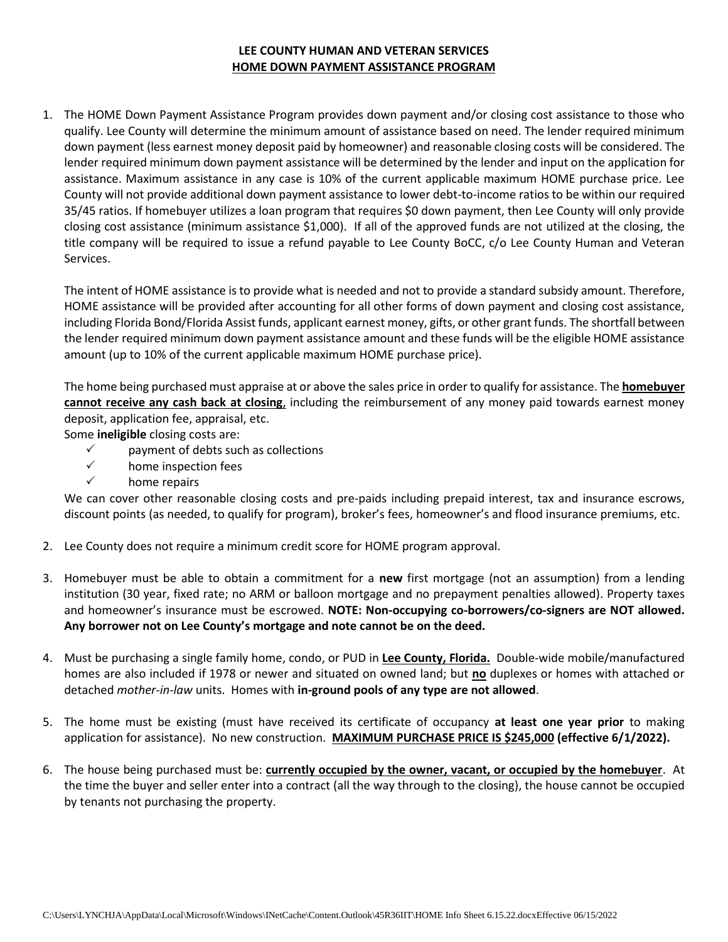## **LEE COUNTY HUMAN AND VETERAN SERVICES HOME DOWN PAYMENT ASSISTANCE PROGRAM**

1. The HOME Down Payment Assistance Program provides down payment and/or closing cost assistance to those who qualify. Lee County will determine the minimum amount of assistance based on need. The lender required minimum down payment (less earnest money deposit paid by homeowner) and reasonable closing costs will be considered. The lender required minimum down payment assistance will be determined by the lender and input on the application for assistance. Maximum assistance in any case is 10% of the current applicable maximum HOME purchase price. Lee County will not provide additional down payment assistance to lower debt-to-income ratios to be within our required 35/45 ratios. If homebuyer utilizes a loan program that requires \$0 down payment, then Lee County will only provide closing cost assistance (minimum assistance \$1,000). If all of the approved funds are not utilized at the closing, the title company will be required to issue a refund payable to Lee County BoCC, c/o Lee County Human and Veteran Services.

The intent of HOME assistance is to provide what is needed and not to provide a standard subsidy amount. Therefore, HOME assistance will be provided after accounting for all other forms of down payment and closing cost assistance, including Florida Bond/Florida Assist funds, applicant earnest money, gifts, or other grant funds. The shortfall between the lender required minimum down payment assistance amount and these funds will be the eligible HOME assistance amount (up to 10% of the current applicable maximum HOME purchase price).

The home being purchased must appraise at or above the sales price in order to qualify for assistance. The **homebuyer cannot receive any cash back at closing**, including the reimbursement of any money paid towards earnest money deposit, application fee, appraisal, etc.

Some **ineligible** closing costs are:

- $\checkmark$  payment of debts such as collections
- $\checkmark$  home inspection fees
- $\checkmark$  home repairs

We can cover other reasonable closing costs and pre-paids including prepaid interest, tax and insurance escrows, discount points (as needed, to qualify for program), broker's fees, homeowner's and flood insurance premiums, etc.

- 2. Lee County does not require a minimum credit score for HOME program approval.
- 3. Homebuyer must be able to obtain a commitment for a **new** first mortgage (not an assumption) from a lending institution (30 year, fixed rate; no ARM or balloon mortgage and no prepayment penalties allowed). Property taxes and homeowner's insurance must be escrowed. **NOTE: Non-occupying co-borrowers/co-signers are NOT allowed. Any borrower not on Lee County's mortgage and note cannot be on the deed.**
- 4. Must be purchasing a single family home, condo, or PUD in **Lee County, Florida.** Double-wide mobile/manufactured homes are also included if 1978 or newer and situated on owned land; but **no** duplexes or homes with attached or detached *mother-in-law* units. Homes with **in-ground pools of any type are not allowed**.
- 5. The home must be existing (must have received its certificate of occupancy **at least one year prior** to making application for assistance). No new construction. **MAXIMUM PURCHASE PRICE IS \$245,000 (effective 6/1/2022).**
- 6. The house being purchased must be: **currently occupied by the owner, vacant, or occupied by the homebuyer**. At the time the buyer and seller enter into a contract (all the way through to the closing), the house cannot be occupied by tenants not purchasing the property.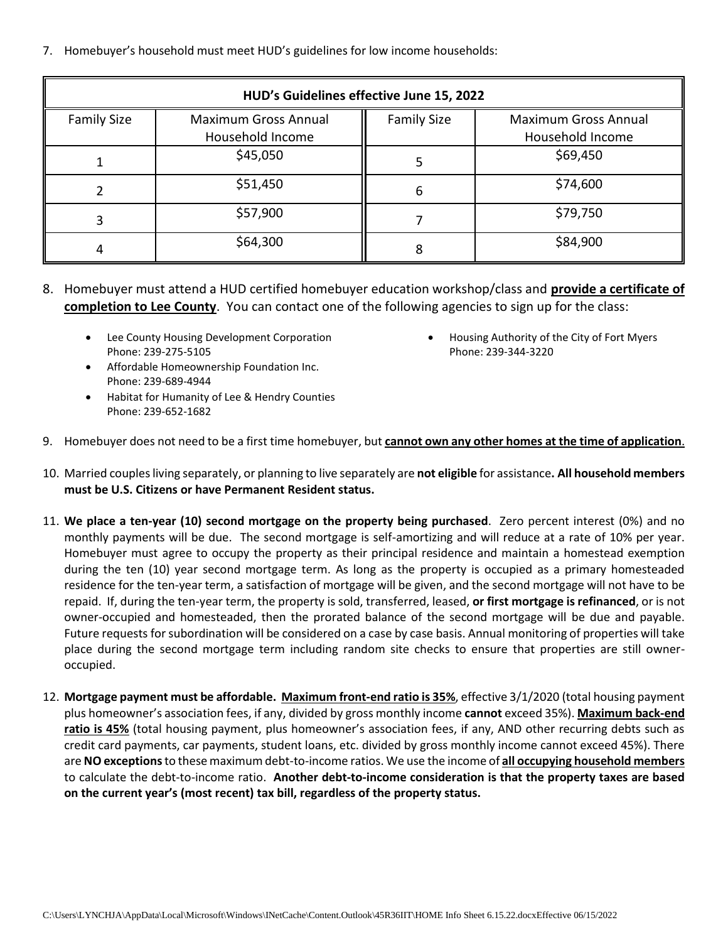7. Homebuyer's household must meet HUD's guidelines for low income households:

| HUD's Guidelines effective June 15, 2022 |                                          |                    |                                                 |
|------------------------------------------|------------------------------------------|--------------------|-------------------------------------------------|
| <b>Family Size</b>                       | Maximum Gross Annual<br>Household Income | <b>Family Size</b> | <b>Maximum Gross Annual</b><br>Household Income |
|                                          | \$45,050                                 |                    | \$69,450                                        |
|                                          | \$51,450                                 | 6                  | \$74,600                                        |
| ς                                        | \$57,900                                 |                    | \$79,750                                        |
| 4                                        | \$64,300                                 | 8                  | \$84,900                                        |

- 8. Homebuyer must attend a HUD certified homebuyer education workshop/class and **provide a certificate of completion to Lee County**. You can contact one of the following agencies to sign up for the class:
	- Lee County Housing Development Corporation Phone: 239-275-5105
	- Affordable Homeownership Foundation Inc. Phone: 239-689-4944
	- Habitat for Humanity of Lee & Hendry Counties Phone: 239-652-1682
- Housing Authority of the City of Fort Myers Phone: 239-344-3220
- 9. Homebuyer does not need to be a first time homebuyer, but **cannot own any other homes at the time of application**.
- 10. Married couples living separately, or planning to live separately are **not eligible** for assistance**. All household members must be U.S. Citizens or have Permanent Resident status.**
- 11. **We place a ten-year (10) second mortgage on the property being purchased**. Zero percent interest (0%) and no monthly payments will be due. The second mortgage is self-amortizing and will reduce at a rate of 10% per year. Homebuyer must agree to occupy the property as their principal residence and maintain a homestead exemption during the ten (10) year second mortgage term. As long as the property is occupied as a primary homesteaded residence for the ten-year term, a satisfaction of mortgage will be given, and the second mortgage will not have to be repaid. If, during the ten-year term, the property is sold, transferred, leased, **or first mortgage is refinanced**, or is not owner-occupied and homesteaded, then the prorated balance of the second mortgage will be due and payable. Future requests for subordination will be considered on a case by case basis. Annual monitoring of properties will take place during the second mortgage term including random site checks to ensure that properties are still owneroccupied.
- 12. **Mortgage payment must be affordable. Maximum front-end ratio is 35%**, effective 3/1/2020 (total housing payment plus homeowner's association fees, if any, divided by gross monthly income **cannot** exceed 35%). **Maximum back-end ratio is 45%** (total housing payment, plus homeowner's association fees, if any, AND other recurring debts such as credit card payments, car payments, student loans, etc. divided by gross monthly income cannot exceed 45%). There are **NO exceptions**to these maximum debt-to-income ratios. We use the income of **all occupying household members** to calculate the debt-to-income ratio. **Another debt-to-income consideration is that the property taxes are based on the current year's (most recent) tax bill, regardless of the property status.**